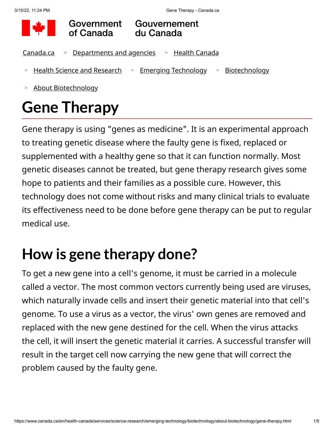

Government of Canada

Gouvernement du Canada

- <u>[Canada.ca](https://www.canada.ca/en.html) > [Departments and agencies](https://www.canada.ca/en/government/dept.html) -> [Health Canada](https://www.canada.ca/en/health-canada.html)</u>
- > <u>[Health Science and Research](https://www.canada.ca/en/health-canada/services/science-research.html)</u> > <u>[Emerging Technology](https://www.canada.ca/en/health-canada/services/science-research/emerging-technology.html)</u> > <u>[Biotechnology](https://www.canada.ca/en/health-canada/services/science-research/emerging-technology/biotechnology.html)</u>
- [About Biotechnology](https://www.canada.ca/en/health-canada/services/science-research/emerging-technology/biotechnology/about-biotechnology.html) >

# **Gene Therapy**

Gene therapy is using "genes as medicine". It is an experimental approach to treating genetic disease where the faulty gene is fixed, replaced or supplemented with a healthy gene so that it can function normally. Most genetic diseases cannot be treated, but gene therapy research gives some hope to patients and their families as a possible cure. However, this technology does not come without risks and many clinical trials to evaluate its effectiveness need to be done before gene therapy can be put to regular medical use.

## **How is gene therapy done?**

To get a new gene into a cell's genome, it must be carried in a molecule called a vector. The most common vectors currently being used are viruses, which naturally invade cells and insert their genetic material into that cell's genome. To use a virus as a vector, the virus' own genes are removed and replaced with the new gene destined for the cell. When the virus attacks the cell, it will insert the genetic material it carries. A successful transfer will result in the target cell now carrying the new gene that will correct the problem caused by the faulty gene.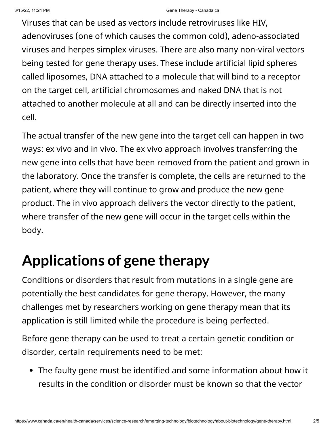Viruses that can be used as vectors include retroviruses like HIV, adenoviruses (one of which causes the common cold), adeno-associated viruses and herpes simplex viruses. There are also many non-viral vectors being tested for gene therapy uses. These include artificial lipid spheres called liposomes, DNA attached to a molecule that will bind to a receptor on the target cell, artificial chromosomes and naked DNA that is not attached to another molecule at all and can be directly inserted into the cell.

The actual transfer of the new gene into the target cell can happen in two ways: ex vivo and in vivo. The ex vivo approach involves transferring the new gene into cells that have been removed from the patient and grown in the laboratory. Once the transfer is complete, the cells are returned to the patient, where they will continue to grow and produce the new gene product. The in vivo approach delivers the vector directly to the patient, where transfer of the new gene will occur in the target cells within the body.

### **Applications of gene therapy**

Conditions or disorders that result from mutations in a single gene are potentially the best candidates for gene therapy. However, the many challenges met by researchers working on gene therapy mean that its application is still limited while the procedure is being perfected.

Before gene therapy can be used to treat a certain genetic condition or disorder, certain requirements need to be met:

The faulty gene must be identified and some information about how it results in the condition or disorder must be known so that the vector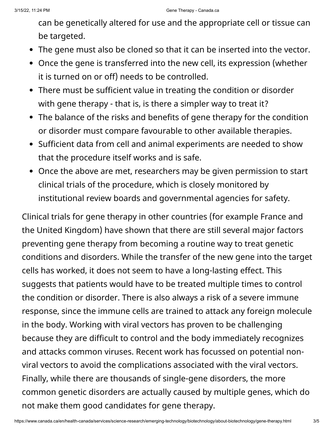can be genetically altered for use and the appropriate cell or tissue can be targeted.

- The gene must also be cloned so that it can be inserted into the vector.
- Once the gene is transferred into the new cell, its expression (whether it is turned on or off) needs to be controlled.
- There must be sufficient value in treating the condition or disorder with gene therapy - that is, is there a simpler way to treat it?
- The balance of the risks and benefits of gene therapy for the condition or disorder must compare favourable to other available therapies.
- Sufficient data from cell and animal experiments are needed to show that the procedure itself works and is safe.
- Once the above are met, researchers may be given permission to start clinical trials of the procedure, which is closely monitored by institutional review boards and governmental agencies for safety.

Clinical trials for gene therapy in other countries (for example France and the United Kingdom) have shown that there are still several major factors preventing gene therapy from becoming a routine way to treat genetic conditions and disorders. While the transfer of the new gene into the target cells has worked, it does not seem to have a long-lasting effect. This suggests that patients would have to be treated multiple times to control the condition or disorder. There is also always a risk of a severe immune response, since the immune cells are trained to attack any foreign molecule in the body. Working with viral vectors has proven to be challenging because they are difficult to control and the body immediately recognizes and attacks common viruses. Recent work has focussed on potential nonviral vectors to avoid the complications associated with the viral vectors. Finally, while there are thousands of single-gene disorders, the more common genetic disorders are actually caused by multiple genes, which do not make them good candidates for gene therapy.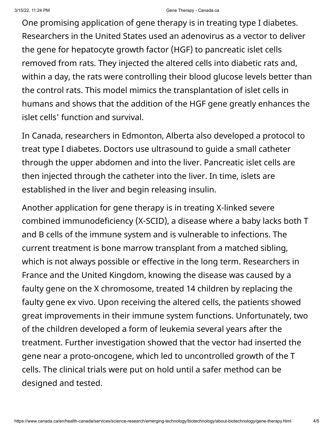#### 3/15/22, 11:24 PM Gene Therapy - Canada.ca

One promising application of gene therapy is in treating type I diabetes. Researchers in the United States used an adenovirus as a vector to deliver the gene for hepatocyte growth factor (HGF) to pancreatic islet cells removed from rats. They injected the altered cells into diabetic rats and, within a day, the rats were controlling their blood glucose levels better than the control rats. This model mimics the transplantation of islet cells in humans and shows that the addition of the HGF gene greatly enhances the islet cells' function and survival.

In Canada, researchers in Edmonton, Alberta also developed a protocol to treat type I diabetes. Doctors use ultrasound to guide a small catheter through the upper abdomen and into the liver. Pancreatic islet cells are then injected through the catheter into the liver. In time, islets are established in the liver and begin releasing insulin.

Another application for gene therapy is in treating X-linked severe combined immunodeficiency (X-SCID), a disease where a baby lacks both T and B cells of the immune system and is vulnerable to infections. The current treatment is bone marrow transplant from a matched sibling, which is not always possible or effective in the long term. Researchers in France and the United Kingdom, knowing the disease was caused by a faulty gene on the X chromosome, treated 14 children by replacing the faulty gene ex vivo. Upon receiving the altered cells, the patients showed great improvements in their immune system functions. Unfortunately, two of the children developed a form of leukemia several years after the treatment. Further investigation showed that the vector had inserted the gene near a proto-oncogene, which led to uncontrolled growth of the T cells. The clinical trials were put on hold until a safer method can be designed and tested.